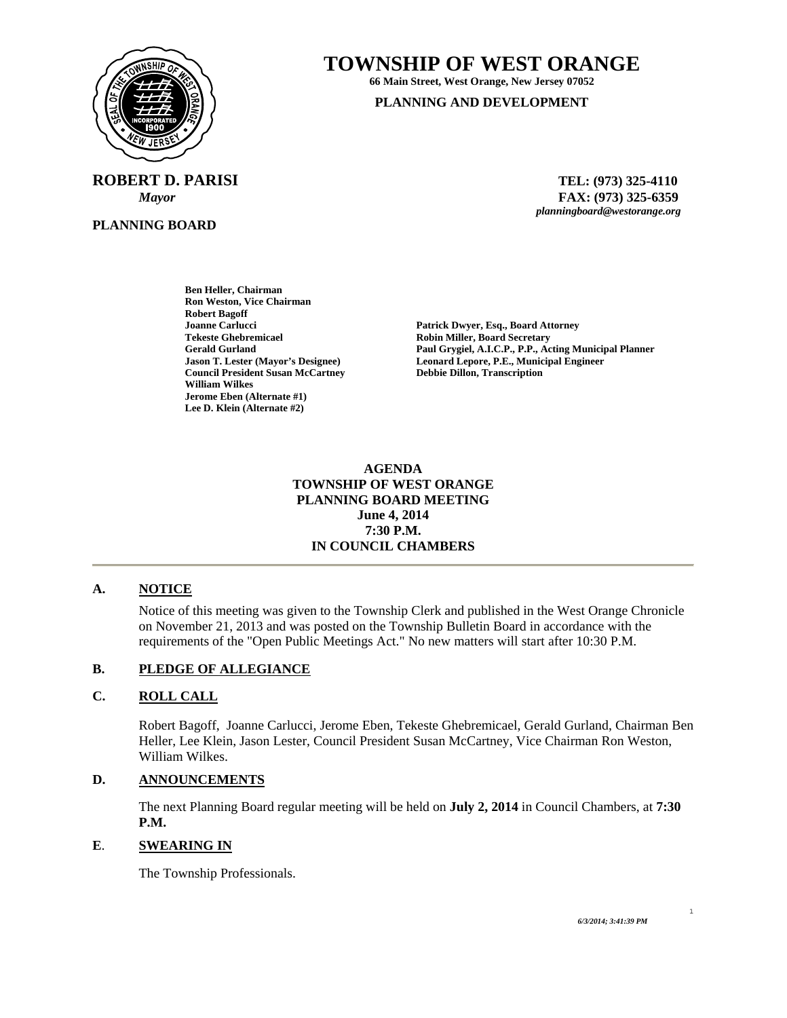

**PLANNING BOARD**

# **TOWNSHIP OF WEST ORANGE**

**66 Main Street, West Orange, New Jersey 07052 PLANNING AND DEVELOPMENT**

**ROBERT D. PARISI TEL: (973) 325-4110**  *Mayor* **FAX: (973) 325-6359** *planningboard@westorange.org* 

> **Ben Heller, Chairman Ron Weston, Vice Chairman Robert Bagoff Council President Susan McCartney William Wilkes Jerome Eben (Alternate #1) Lee D. Klein (Alternate #2)**

**Joanne Carlucci Patrick Dwyer, Esq., Board Attorney Robin Miller, Board Secretary Gerald Gurland Paul Grygiel, A.I.C.P., P.P., Acting Municipal Planner Leonard Lepore, P.E., Municipal Engineer<br>Debbie Dillon, Transcription** 

> **AGENDA TOWNSHIP OF WEST ORANGE PLANNING BOARD MEETING June 4, 2014 7:30 P.M. IN COUNCIL CHAMBERS**

## **A. NOTICE**

Notice of this meeting was given to the Township Clerk and published in the West Orange Chronicle on November 21, 2013 and was posted on the Township Bulletin Board in accordance with the requirements of the "Open Public Meetings Act." No new matters will start after 10:30 P.M.

### **B. PLEDGE OF ALLEGIANCE**

### **C. ROLL CALL**

Robert Bagoff, Joanne Carlucci, Jerome Eben, Tekeste Ghebremicael, Gerald Gurland, Chairman Ben Heller, Lee Klein, Jason Lester, Council President Susan McCartney, Vice Chairman Ron Weston, William Wilkes.

### **D. ANNOUNCEMENTS**

The next Planning Board regular meeting will be held on **July 2, 2014** in Council Chambers, at **7:30 P.M.** 

#### **E**. **SWEARING IN**

The Township Professionals.